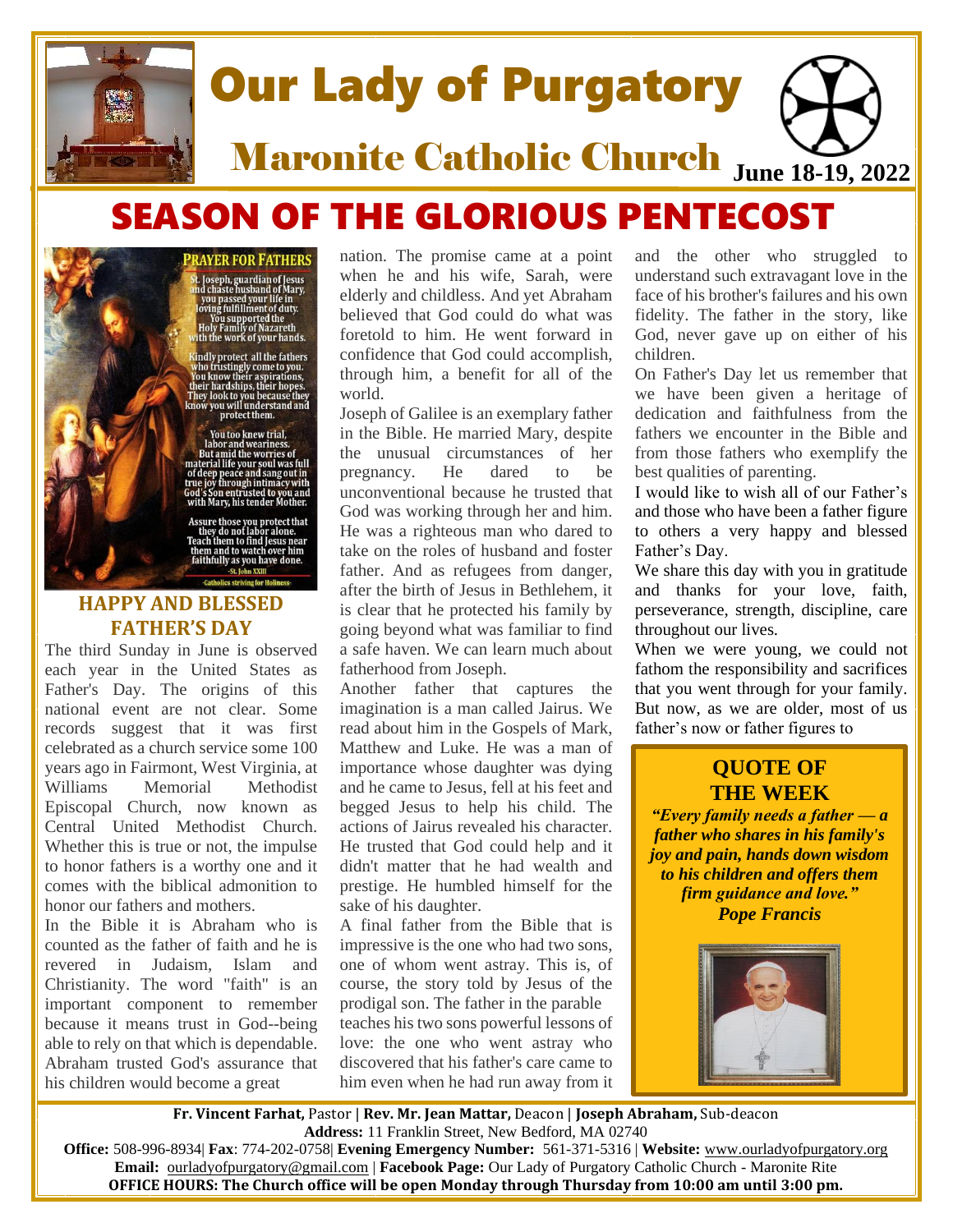

# Our Lady of Purgatory

**Maronite Catholic Church June 18-19, 2022** 

# SEASON OF THE GLORIOUS PENTECOST

#### **RAYER FOR FATHERS**

t. Joseph, guardian of Jesus<br>Ind chaste husband of Mary,<br>you passed your life in<br>Joving fulfillment of duty.<br>You supported the<br>Holy Family of Nazareth<br>Holy Family of Nazareth<br>ith the work of your hands.

ndly protect all the fathers Natury protect and the tauters<br>
You know their aspirations,<br>
You know their aspirations,<br>
their hardships, their hopes.<br>
They look to you because they<br>
mow you will understand and<br>
protect them.

You too knew trial,<br>labor and weariness.<br>But amid the worries of<br>material life your soul was full<br>of deep peace and sang out in<br>true joy through intimacy with<br>God's Son entrusted to you and<br>with Mary, his tender Mother.

n to find Jesus 1 **nem and to watch ove** faithfully as you have done

# **HAPPY AND BLESSED FATHER'S DAY**

The third Sunday in June is observed each year in the United States as Father's Day. The origins of this national event are not clear. Some records suggest that it was first celebrated as a church service some 100 years ago in Fairmont, West Virginia, at Williams Memorial Methodist Episcopal Church, now known as Central United Methodist Church. Whether this is true or not, the impulse to honor fathers is a worthy one and it comes with the biblical admonition to honor our fathers and mothers.

In the Bible it is Abraham who is counted as the father of faith and he is revered in Judaism, Islam and Christianity. The word "faith" is an important component to remember because it means trust in God--being able to rely on that which is dependable. Abraham trusted God's assurance that his children would become a great

nation. The promise came at a point when he and his wife, Sarah, were elderly and childless. And yet Abraham believed that God could do what was foretold to him. He went forward in confidence that God could accomplish, through him, a benefit for all of the world.

Joseph of Galilee is an exemplary father in the Bible. He married Mary, despite the unusual circumstances of her pregnancy. He dared to be unconventional because he trusted that God was working through her and him. He was a righteous man who dared to take on the roles of husband and foster father. And as refugees from danger, after the birth of Jesus in Bethlehem, it is clear that he protected his family by going beyond what was familiar to find a safe haven. We can learn much about fatherhood from Joseph.

Another father that captures the imagination is a man called Jairus. We read about him in the Gospels of Mark, Matthew and Luke. He was a man of importance whose daughter was dying and he came to Jesus, fell at his feet and begged Jesus to help his child. The actions of Jairus revealed his character. He trusted that God could help and it didn't matter that he had wealth and prestige. He humbled himself for the sake of his daughter.

A final father from the Bible that is impressive is the one who had two sons, one of whom went astray. This is, of course, the story told by Jesus of the prodigal son. The father in the parable teaches his two sons powerful lessons of love: the one who went astray who discovered that his father's care came to him even when he had run away from it and the other who struggled to understand such extravagant love in the face of his brother's failures and his own fidelity. The father in the story, like God, never gave up on either of his children.

On Father's Day let us remember that we have been given a heritage of dedication and faithfulness from the fathers we encounter in the Bible and from those fathers who exemplify the best qualities of parenting.

I would like to wish all of our Father's and those who have been a father figure to others a very happy and blessed Father's Day.

We share this day with you in gratitude and thanks for your love, faith, perseverance, strength, discipline, care throughout our lives.

When we were young, we could not fathom the responsibility and sacrifices that you went through for your family. But now, as we are older, most of us father's now or father figures to

# **QUOTE OF THE WEEK**

*"Every family needs a father — a father who shares in his family's joy and pain, hands down wisdom to his children and offers them firm guidance and love." [Pope Francis](https://www.catholiccompany.com/new-pope-francis-c2871/)*



**Fr. Vincent Farhat,** Pastor | **Rev. Mr. Jean Mattar,** Deacon | **Joseph Abraham,** Sub-deacon **Address:** 11 Franklin Street, New Bedford, MA 02740

**Office:** 508-996-8934| **Fax**: 774-202-0758| **Evening Emergency Number:** 561-371-5316 | **Website:** [www.ourladyofpurgatory.org](http://www.ourladyofpurgatory.org/) **Email:** [ourladyofpurgatory@gmail.com](mailto:ourladyofpurgatory@verizon.net) | **Facebook Page:** Our Lady of Purgatory Catholic Church - Maronite Rite **OFFICE HOURS: The Church office will be open Monday through Thursday from 10:00 am until 3:00 pm.**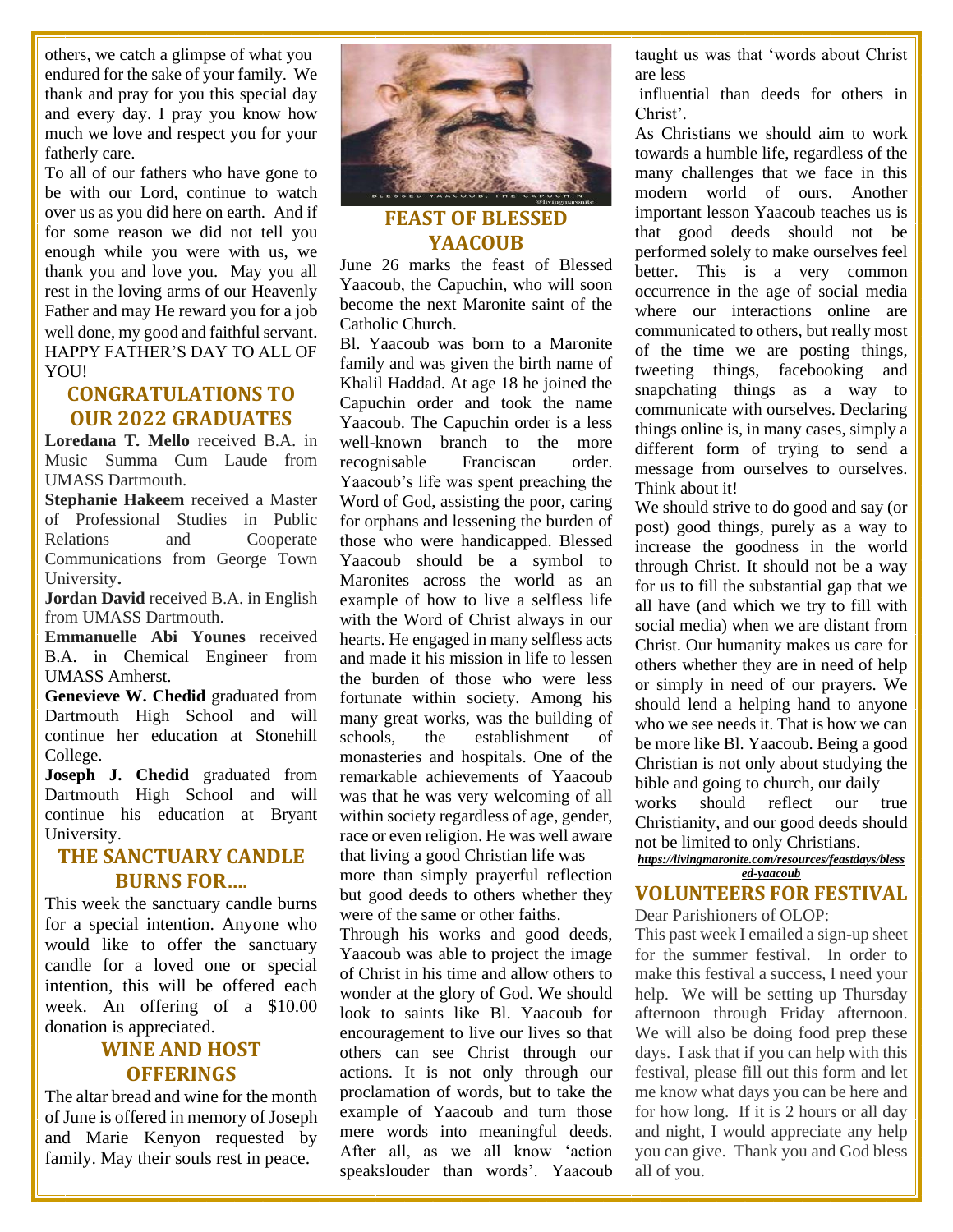others, we catch a glimpse of what you endured for the sake of your family. We thank and pray for you this special day and every day. I pray you know how much we love and respect you for your fatherly care.

To all of our fathers who have gone to be with our Lord, continue to watch over us as you did here on earth. And if for some reason we did not tell you enough while you were with us, we thank you and love you. May you all rest in the loving arms of our Heavenly Father and may He reward you for a job well done, my good and faithful servant. HAPPY FATHER'S DAY TO ALL OF YOU!

# **CONGRATULATIONS TO OUR 2022 GRADUATES**

**Loredana T. Mello** received B.A. in Music Summa Cum Laude from UMASS Dartmouth.

**Stephanie Hakeem** received a Master of Professional Studies in Public Relations and Cooperate Communications from George Town University**.** 

**Jordan David** received B.A. in English from UMASS Dartmouth.

**Emmanuelle Abi Younes** received B.A. in Chemical Engineer from UMASS Amherst.

**Genevieve W. Chedid** graduated from Dartmouth High School and will continue her education at Stonehill College.

**Joseph J. Chedid** graduated from Dartmouth High School and will continue his education at Bryant University.

### **THE SANCTUARY CANDLE BURNS FOR….**

This week the sanctuary candle burns for a special intention. Anyone who would like to offer the sanctuary candle for a loved one or special intention, this will be offered each week. An offering of a \$10.00 donation is appreciated.

# **WINE AND HOST OFFERINGS**

The altar bread and wine for the month of June is offered in memory of Joseph and Marie Kenyon requested by family. May their souls rest in peace.



# **FEAST OF BLESSED YAACOUB**

June 26 marks the feast of Blessed Yaacoub, the Capuchin, who will soon become the next Maronite saint of the Catholic Church.

Bl. Yaacoub was born to a Maronite family and was given the birth name of Khalil Haddad. At age 18 he joined the Capuchin order and took the name Yaacoub. The Capuchin order is a less well-known branch to the more recognisable Franciscan order. Yaacoub's life was spent preaching the Word of God, assisting the poor, caring for orphans and lessening the burden of those who were handicapped. Blessed Yaacoub should be a symbol to Maronites across the world as an example of how to live a selfless life with the Word of Christ always in our hearts. He engaged in many selfless acts and made it his mission in life to lessen the burden of those who were less fortunate within society. Among his many great works, was the building of schools, the establishment of monasteries and hospitals. One of the remarkable achievements of Yaacoub was that he was very welcoming of all within society regardless of age, gender, race or even religion. He was well aware that living a good Christian life was

more than simply prayerful reflection but good deeds to others whether they were of the same or other faiths.

Through his works and good deeds, Yaacoub was able to project the image of Christ in his time and allow others to wonder at the glory of God. We should look to saints like Bl. Yaacoub for encouragement to live our lives so that others can see Christ through our actions. It is not only through our proclamation of words, but to take the example of Yaacoub and turn those mere words into meaningful deeds. After all, as we all know 'action speakslouder than words'. Yaacoub taught us was that 'words about Christ are less

influential than deeds for others in Christ'.

As Christians we should aim to work towards a humble life, regardless of the many challenges that we face in this modern world of ours. Another important lesson Yaacoub teaches us is that good deeds should not be performed solely to make ourselves feel better. This is a very common occurrence in the age of social media where our interactions online are communicated to others, but really most of the time we are posting things, tweeting things, facebooking and snapchating things as a way to communicate with ourselves. Declaring things online is, in many cases, simply a different form of trying to send a message from ourselves to ourselves. Think about it!

We should strive to do good and say (or post) good things, purely as a way to increase the goodness in the world through Christ. It should not be a way for us to fill the substantial gap that we all have (and which we try to fill with social media) when we are distant from Christ. Our humanity makes us care for others whether they are in need of help or simply in need of our prayers. We should lend a helping hand to anyone who we see needs it. That is how we can be more like Bl. Yaacoub. Being a good Christian is not only about studying the bible and going to church, our daily works should reflect our true Christianity, and our good deeds should not be limited to only Christians.

*[https://livingmaronite.com/resources/feastdays/bless](https://livingmaronite.com/resources/feastdays/blessed-yaacoub) [ed-yaacoub](https://livingmaronite.com/resources/feastdays/blessed-yaacoub)*

#### **VOLUNTEERS FOR FESTIVAL** Dear Parishioners of OLOP:

This past week I emailed a sign-up sheet for the summer festival. In order to make this festival a success, I need your help. We will be setting up Thursday afternoon through Friday afternoon. We will also be doing food prep these days. I ask that if you can help with this festival, please fill out this form and let me know what days you can be here and for how long. If it is 2 hours or all day and night, I would appreciate any help you can give. Thank you and God bless all of you.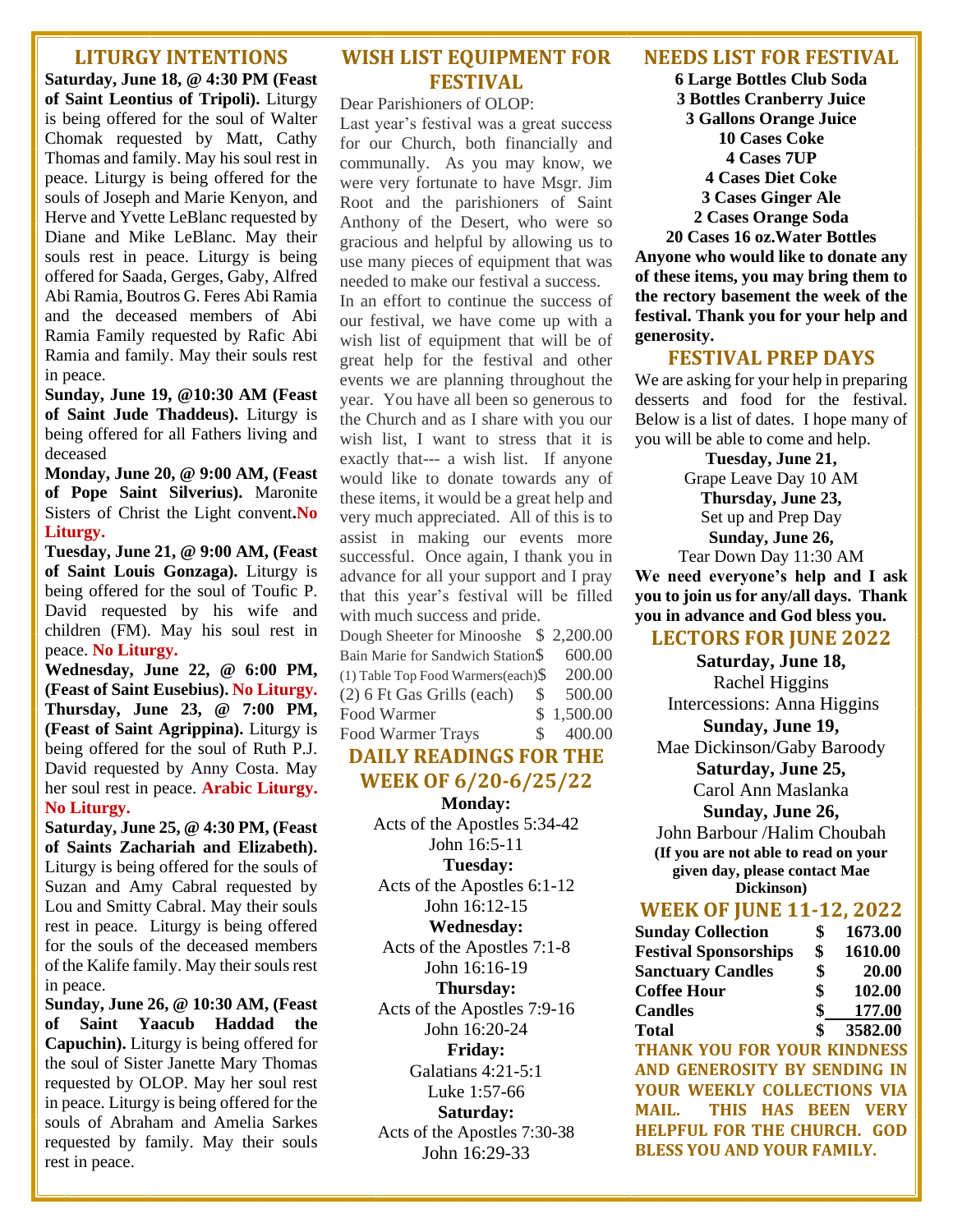#### **LITURGY INTENTIONS**

**Saturday, June 18, @ 4:30 PM (Feast of Saint Leontius of Tripoli).** Liturgy is being offered for the soul of Walter Chomak requested by Matt, Cathy Thomas and family. May his soul rest in peace. Liturgy is being offered for the souls of Joseph and Marie Kenyon, and Herve and Yvette LeBlanc requested by Diane and Mike LeBlanc. May their souls rest in peace. Liturgy is being offered for Saada, Gerges, Gaby, Alfred Abi Ramia, Boutros G. Feres Abi Ramia and the deceased members of Abi Ramia Family requested by Rafic Abi Ramia and family. May their souls rest in peace.

**Sunday, June 19, @10:30 AM (Feast of Saint Jude Thaddeus).** Liturgy is being offered for all Fathers living and deceased

**Monday, June 20, @ 9:00 AM, (Feast of Pope Saint Silverius).** Maronite Sisters of Christ the Light convent**.No Liturgy.**

**Tuesday, June 21, @ 9:00 AM, (Feast of Saint Louis Gonzaga).** Liturgy is being offered for the soul of Toufic P. David requested by his wife and children (FM). May his soul rest in peace. **No Liturgy.**

**Wednesday, June 22, @ 6:00 PM, (Feast of Saint Eusebius). No Liturgy. Thursday, June 23, @ 7:00 PM, (Feast of Saint Agrippina).** Liturgy is being offered for the soul of Ruth P.J. David requested by Anny Costa. May her soul rest in peace. **Arabic Liturgy. No Liturgy.**

**Saturday, June 25, @ 4:30 PM, (Feast of Saints Zachariah and Elizabeth).** Liturgy is being offered for the souls of Suzan and Amy Cabral requested by Lou and Smitty Cabral. May their souls rest in peace. Liturgy is being offered for the souls of the deceased members of the Kalife family. May their souls rest in peace.

**Sunday, June 26, @ 10:30 AM, (Feast of Saint Yaacub Haddad the Capuchin).** Liturgy is being offered for the soul of Sister Janette Mary Thomas requested by OLOP. May her soul rest in peace. Liturgy is being offered for the souls of Abraham and Amelia Sarkes requested by family. May their souls rest in peace.

# **WISH LIST EQUIPMENT FOR FESTIVAL**

Dear Parishioners of OLOP:

Last year's festival was a great success for our Church, both financially and communally. As you may know, we were very fortunate to have Msgr. Jim Root and the parishioners of Saint Anthony of the Desert, who were so gracious and helpful by allowing us to use many pieces of equipment that was needed to make our festival a success.

In an effort to continue the success of our festival, we have come up with a wish list of equipment that will be of great help for the festival and other events we are planning throughout the year. You have all been so generous to the Church and as I share with you our wish list, I want to stress that it is exactly that--- a wish list. If anyone would like to donate towards any of these items, it would be a great help and very much appreciated. All of this is to assist in making our events more successful. Once again, I thank you in advance for all your support and I pray that this year's festival will be filled with much success and pride.

| Dough Sheeter for Minooshe \$2,200.00  |              |            |
|----------------------------------------|--------------|------------|
| Bain Marie for Sandwich Station\$      |              | 600.00     |
| (1) Table Top Food Warmers(each) $\$\$ |              | 200.00     |
| (2) 6 Ft Gas Grills (each)             | <sup>S</sup> | 500.00     |
| <b>Food Warmer</b>                     |              | \$1,500.00 |
| <b>Food Warmer Trays</b>               | $S_{\cdot}$  | 400.00     |

# **DAILY READINGS FOR THE WEEK OF 6/20-6/25/22**

**Monday:**  Acts of the Apostles 5:34-42 John 16:5-11 **Tuesday:**  Acts of the Apostles 6:1-12 John 16:12-15 **Wednesday:**  Acts of the Apostles 7:1-8 John 16:16-19 **Thursday:**  Acts of the Apostles 7:9-16 John 16:20-24 **Friday:**  Galatians 4:21-5:1 Luke 1:57-66 **Saturday:**  Acts of the Apostles 7:30-38 John 16:29-33

#### **NEEDS LIST FOR FESTIVAL**

**6 Large Bottles Club Soda 3 Bottles Cranberry Juice 3 Gallons Orange Juice 10 Cases Coke 4 Cases 7UP 4 Cases Diet Coke 3 Cases Ginger Ale 2 Cases Orange Soda 20 Cases 16 oz.Water Bottles Anyone who would like to donate any** 

**of these items, you may bring them to the rectory basement the week of the festival. Thank you for your help and generosity.**

#### **FESTIVAL PREP DAYS**

We are asking for your help in preparing desserts and food for the festival. Below is a list of dates. I hope many of you will be able to come and help.

**Tuesday, June 21,**

Grape Leave Day 10 AM **Thursday, June 23,** Set up and Prep Day **Sunday, June 26,** Tear Down Day 11:30 AM

**We need everyone's help and I ask you to join us for any/all days. Thank you in advance and God bless you.**

# **LECTORS FOR JUNE 2022**

**Saturday, June 18,**  Rachel Higgins Intercessions: Anna Higgins **Sunday, June 19,**  Mae Dickinson/Gaby Baroody **Saturday, June 25,**  Carol Ann Maslanka **Sunday, June 26,**  John Barbour /Halim Choubah **(If you are not able to read on your** 

**given day, please contact Mae Dickinson)**

#### **WEEK OF JUNE 11-12, 2022**

| <b>Sunday Collection</b>           | \$<br>1673.00 |
|------------------------------------|---------------|
| <b>Festival Sponsorships</b>       | \$<br>1610.00 |
| <b>Sanctuary Candles</b>           | \$<br>20.00   |
| <b>Coffee Hour</b>                 | \$<br>102.00  |
| <b>Candles</b>                     | \$<br>177.00  |
| <b>Total</b>                       | \$<br>3582.00 |
| <b>THANK YOU FOR YOUR KINDNESS</b> |               |
|                                    |               |

**AND GENEROSITY BY SENDING IN YOUR WEEKLY COLLECTIONS VIA MAIL. THIS HAS BEEN VERY HELPFUL FOR THE CHURCH. GOD BLESS YOU AND YOUR FAMILY.**